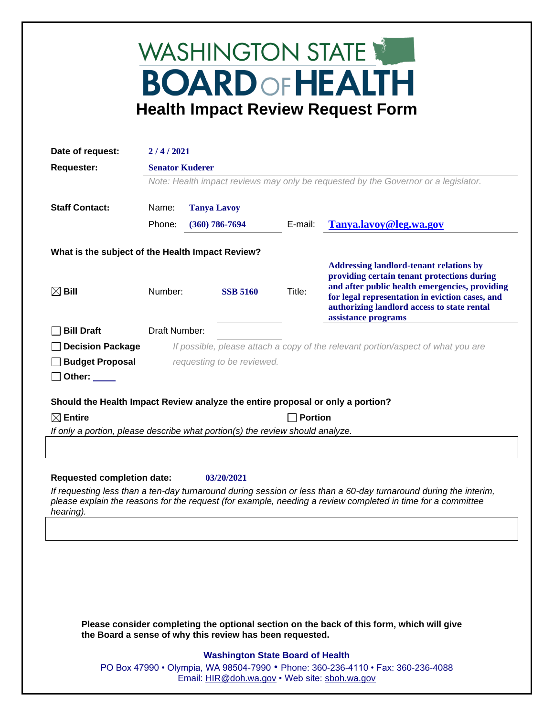## WASHINGTON STATE **BOARD OF HEALTH Health Impact Review Request Form**

| Date of request:                                                                                                                                      | 2/4/2021                                                                           |                        |                            |         |                                                                                                                  |  |
|-------------------------------------------------------------------------------------------------------------------------------------------------------|------------------------------------------------------------------------------------|------------------------|----------------------------|---------|------------------------------------------------------------------------------------------------------------------|--|
| <b>Requester:</b>                                                                                                                                     |                                                                                    | <b>Senator Kuderer</b> |                            |         |                                                                                                                  |  |
|                                                                                                                                                       | Note: Health impact reviews may only be requested by the Governor or a legislator. |                        |                            |         |                                                                                                                  |  |
|                                                                                                                                                       |                                                                                    |                        |                            |         |                                                                                                                  |  |
| <b>Staff Contact:</b>                                                                                                                                 | Name:<br><b>Tanya Lavoy</b>                                                        |                        |                            |         |                                                                                                                  |  |
|                                                                                                                                                       | Phone:                                                                             |                        | $(360)$ 786-7694           | E-mail: | Tanya.lavoy@leg.wa.gov                                                                                           |  |
| What is the subject of the Health Impact Review?                                                                                                      |                                                                                    |                        |                            |         |                                                                                                                  |  |
|                                                                                                                                                       |                                                                                    |                        |                            |         | <b>Addressing landlord-tenant relations by</b>                                                                   |  |
|                                                                                                                                                       |                                                                                    |                        |                            |         | providing certain tenant protections during                                                                      |  |
| $\boxtimes$ Bill                                                                                                                                      | Number:                                                                            |                        | <b>SSB 5160</b>            | Title:  | and after public health emergencies, providing<br>for legal representation in eviction cases, and                |  |
|                                                                                                                                                       |                                                                                    |                        |                            |         | authorizing landlord access to state rental                                                                      |  |
|                                                                                                                                                       |                                                                                    |                        |                            |         | assistance programs                                                                                              |  |
| <b>Bill Draft</b>                                                                                                                                     | Draft Number:                                                                      |                        |                            |         |                                                                                                                  |  |
| <b>Decision Package</b>                                                                                                                               |                                                                                    |                        |                            |         | If possible, please attach a copy of the relevant portion/aspect of what you are                                 |  |
| <b>Budget Proposal</b>                                                                                                                                |                                                                                    |                        | requesting to be reviewed. |         |                                                                                                                  |  |
| Other: $\_\_$                                                                                                                                         |                                                                                    |                        |                            |         |                                                                                                                  |  |
|                                                                                                                                                       |                                                                                    |                        |                            |         |                                                                                                                  |  |
| Should the Health Impact Review analyze the entire proposal or only a portion?                                                                        |                                                                                    |                        |                            |         |                                                                                                                  |  |
| $\boxtimes$ Entire<br><b>Portion</b><br>If only a portion, please describe what portion(s) the review should analyze.                                 |                                                                                    |                        |                            |         |                                                                                                                  |  |
|                                                                                                                                                       |                                                                                    |                        |                            |         |                                                                                                                  |  |
|                                                                                                                                                       |                                                                                    |                        |                            |         |                                                                                                                  |  |
| <b>Requested completion date:</b>                                                                                                                     |                                                                                    |                        | 03/20/2021                 |         |                                                                                                                  |  |
|                                                                                                                                                       |                                                                                    |                        |                            |         | If requesting less than a ten-day turnaround during session or less than a 60-day turnaround during the interim, |  |
| please explain the reasons for the request (for example, needing a review completed in time for a committee<br>hearing).                              |                                                                                    |                        |                            |         |                                                                                                                  |  |
|                                                                                                                                                       |                                                                                    |                        |                            |         |                                                                                                                  |  |
|                                                                                                                                                       |                                                                                    |                        |                            |         |                                                                                                                  |  |
|                                                                                                                                                       |                                                                                    |                        |                            |         |                                                                                                                  |  |
|                                                                                                                                                       |                                                                                    |                        |                            |         |                                                                                                                  |  |
|                                                                                                                                                       |                                                                                    |                        |                            |         |                                                                                                                  |  |
|                                                                                                                                                       |                                                                                    |                        |                            |         |                                                                                                                  |  |
|                                                                                                                                                       |                                                                                    |                        |                            |         |                                                                                                                  |  |
| Please consider completing the optional section on the back of this form, which will give<br>the Board a sense of why this review has been requested. |                                                                                    |                        |                            |         |                                                                                                                  |  |
| <b>Washington State Board of Health</b>                                                                                                               |                                                                                    |                        |                            |         |                                                                                                                  |  |
| PO Box 47990 • Olympia, WA 98504-7990 • Phone: 360-236-4110 • Fax: 360-236-4088                                                                       |                                                                                    |                        |                            |         |                                                                                                                  |  |
| Email: HIR@doh.wa.gov • Web site: sboh.wa.gov                                                                                                         |                                                                                    |                        |                            |         |                                                                                                                  |  |